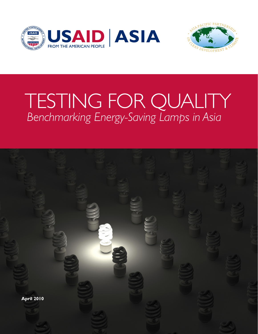



# TESTING FOR QUALITY  *Benchmarking Energy-Saving Lamps in Asia*

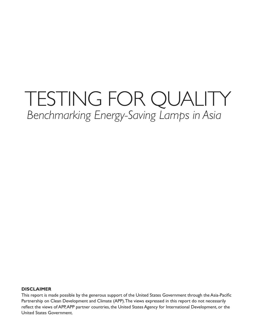## TESTING FOR QUALITY  *Benchmarking Energy-Saving Lamps in Asia*

#### **DISCLAIMER**

This report is made possible by the generous support of the United States Government through the Asia-Pacific Partnership on Clean Development and Climate (APP). The views expressed in this report do not necessarily reflect the views of APP, APP partner countries, the United States Agency for International Development, or the United States Government.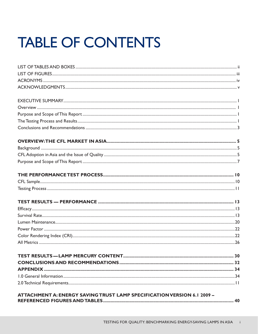# **TABLE OF CONTENTS**

| ATTACHMENT A: ENERGY SAVING TRUST LAMP SPECIFICATION VERSION 6.1 2009 - |  |
|-------------------------------------------------------------------------|--|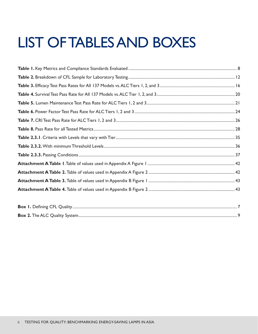# LIST OF TABLES AND BOXES

| $\mathbf{D}_{\text{ext}}$ $\mathbf{D}_{\text{ext}}$ $\mathbf{D}_{\text{ext}}$ $\mathbf{D}_{\text{ext}}$ $\mathbf{D}_{\text{ext}}$ $\mathbf{D}_{\text{ext}}$ | $\overline{ }$ |
|-------------------------------------------------------------------------------------------------------------------------------------------------------------|----------------|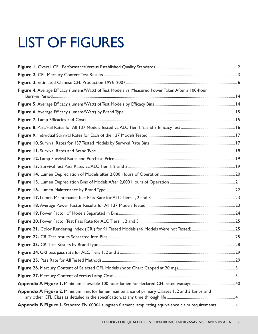# LIST OF FIGURES

| Figure 4. Average Efficacy (lumens/Watt) of Test Models vs. Measured Power Taken After a 100-hour      |  |
|--------------------------------------------------------------------------------------------------------|--|
|                                                                                                        |  |
|                                                                                                        |  |
|                                                                                                        |  |
|                                                                                                        |  |
|                                                                                                        |  |
|                                                                                                        |  |
|                                                                                                        |  |
|                                                                                                        |  |
|                                                                                                        |  |
|                                                                                                        |  |
|                                                                                                        |  |
|                                                                                                        |  |
|                                                                                                        |  |
|                                                                                                        |  |
|                                                                                                        |  |
|                                                                                                        |  |
|                                                                                                        |  |
|                                                                                                        |  |
|                                                                                                        |  |
|                                                                                                        |  |
|                                                                                                        |  |
|                                                                                                        |  |
|                                                                                                        |  |
|                                                                                                        |  |
| Appendix A Figure 2. Minimum limit for lumen maintenance of primary Classes 1, 2 and 3 lamps, and      |  |
| Appendix B Figure 1. Standard EN 60064 tungsten filament lamp rating equivalence claim requirements 41 |  |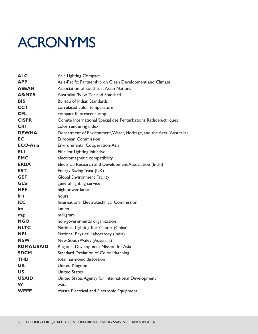## ACRONYMS

| <b>ALC</b>       | Asia Lighting Compact                                                |
|------------------|----------------------------------------------------------------------|
| <b>APP</b>       | Asia-Pacific Partnership on Clean Development and Climate            |
| <b>ASEAN</b>     | <b>Association of Southeast Asian Nations</b>                        |
| <b>AS/NZS</b>    | Australian/New Zealand Standard                                      |
| <b>BIS</b>       | Bureau of Indian Standards                                           |
| <b>CCT</b>       | correlated color temperature                                         |
| <b>CFL</b>       | compact fluorescent lamp                                             |
| <b>CISPR</b>     | Comité International Spécial des Perturbations Radioélectriques      |
| <b>CRI</b>       | color rendering index                                                |
| <b>DEWHA</b>     | Department of Environment, Water, Heritage, and the Arts (Australia) |
| EC               | European Commission                                                  |
| <b>ECO-Asia</b>  | <b>Environmental Cooperation-Asia</b>                                |
| ELI              | <b>Efficient Lighting Initiative</b>                                 |
| <b>EMC</b>       | electromagnetic compatibility                                        |
| <b>ERDA</b>      | Electrical Research and Development Association (India)              |
| <b>EST</b>       | Energy Saving Trust (UK)                                             |
| <b>GEF</b>       | <b>Global Environment Facility</b>                                   |
| <b>GLS</b>       | general lighting service                                             |
| <b>HPF</b>       | high power factor                                                    |
| hrs              | hours                                                                |
| <b>IEC</b>       | International Electrotechnical Commission                            |
| Im               | lumen                                                                |
| mg               | milligram                                                            |
| <b>NGO</b>       | non-governmental organization                                        |
| <b>NLTC</b>      | National Lighting Test Center (China)                                |
| NPL              | National Physical Laboratory (India)                                 |
| <b>NSW</b>       | New South Wales (Australia)                                          |
| <b>RDMAUSAID</b> | Regional Development Mission for Asia                                |
| <b>SDCM</b>      | <b>Standard Deviation of Color Matching</b>                          |
| THD              | total harmonic distortion                                            |
| UK               | <b>United Kingdom</b>                                                |
| US.              | <b>United States</b>                                                 |
| <b>USAID</b>     | United States Agency for International Development                   |
| W                | watt                                                                 |
| <b>WEEE</b>      | <b>Waste Electrical and Electronic Equipment</b>                     |
|                  |                                                                      |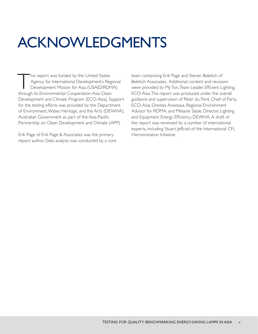# ACKNOWLEDGMENTS

This report was funded by the United States<br>Agency for International Development's Reg<br>Development Mission for Asia (USAID/RDN<br>Athrough its Environmental Cooperation Asia Clean Agency for International Development's Regional Development Mission for Asia (USAID/RDMA) through its Environmental Cooperation-Asia Clean Development and Climate Program (ECO-Asia). Support for the testing efforts was provided by the Department of Environment, Water, Heritage, and the Arts (DEWHA), Australian Government as part of the Asia-Pacific Partnership on Clean Development and Climate (APP).

Erik Page of Erik Page & Associates was the primary report author. Data analysis was conducted by a core team comprising Erik Page and Steven Beletich of Beletich Associates. Additional content and revisions were provided by My Ton, Team Leader, Efficient Lighting, ECO-Asia. The report was produced under the overall guidance and supervision of Peter du Pont, Chief of Party, ECO-Asia, Orestes Anastasia, Regional Environment Advisor for RDMA, and Melanie Slade, Director, Lighting and Equipment Energy Efficiency, DEWHA. A draft of the report was reviewed by a number of international experts, including Stuart Jeffcott of the International CFL Harmonization Initiative.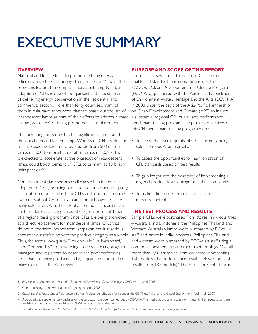# EXECUTIVE SUMMARY

### **OVERVIEW**

National and local efforts to promote lighting energy efficiency have been gathering strength in Asia. Many of these programs feature the compact fluorescent lamp (CFL), as adoption of CFLs is one of the quickest and easiest means of delivering energy conservation in the residential and commercial sectors. More than forty countries, many of them in Asia, have announced plans to phase out the use of incandescent lamps as part of their efforts to address climate a substantial regional CFL quality and performance change, with the CFL being promoted as a replacement.<sup>1</sup>

The increasing focus on CFLs has significantly accelerated the global demand for the lamps. Worldwide CFL production has increased six-fold in the last decade, from 500 million lamps in 2000 to more than 3 billion lamps in 2008.<sup>2</sup> This is expected to accelerate, as the phaseout of incandescent lamps could boost demand of CFLs to as many as 10 billion units per year.<sup>3</sup>

Countries in Asia face serious challenges when it comes to adoption of CFLs, including purchase cost, sub-standard quality, a lack of common standards for CFLs, and a lack of consumer awareness about CFL quality. In addition, although CFLs are being sold across Asia, the lack of a common standard makes it difficult for data sharing across the region, or establishment of a regional testing program. Since CFLs are being promoted as a direct replacement for incandescent lamps, CFLs that do not outperform incandescent lamps can result in serious consumer dissatisfaction with the product category as a whole. staff, and lamps in India, Indonesia, Philippines, Thailand, Thus, the terms "low-quality," "lower-quality," "sub-standard," "poor," or "shoddy" are now being used by experts, program managers, and regulators to describe the poor-performing CFLs that are being produced in large quantities and sold in many markets in the Asia region.

#### **PURPOSE AND SCOPE OF THIS REPORT**

In order to assess and address these CFL product quality and standards harmonization issues, the ECO-Asia Clean Development and Climate Program (ECO-Asia) partnered with the Australian Department of Environment, Water, Heritage and the Arts (DEWHA) in 2008 under the aegis of the Asia-Pacific Partnership on Clean Development and Climate (APP) to initiate benchmark testing program. The primary objectives of this CFL benchmark testing program were:

- To assess the overall quality of CFLs currently being sold in various Asian markets.
- To assess the opportunities for harmonization of CFL standards based on test results.
- To gain insight into the possibility of implementing a regional product testing program and its complexity.
- To make a first-order examination of lamp mercury content.

### **THE TEST PROCESS AND RESULTS**

Sample CFLs were purchased from stores in six countries – Australia, India, Indonesia, the Philippines, Thailand, and Vietnam. Australian lamps were purchased by DEWHA and Vietnam were purchased by ECO-Asia staff using a common, consistent procurement methodology. Overall, more than 2,600 samples were collected representing 160 models (the performance results below represent results from 137 models).4 The results presented focus

- 1. Phasing in Quality: Harmonization of CFLs to Help Asia Address Climate Change. USAID Asia, March 2009.
- 2. Chen, Yansheng. China Association of Lighting Industry, 2008.
- 3. Global Lighting: Phase Out of Incandescent Lamps. Project Identification Form under the GEF Trust Fund for the Global Environment Facility. July 2007.
- 4. Additional and supplementary analyses on the test data have been carried out by DEWHA. The methodology and results from these further investigations are available online, and will be available as DEWHA reports separately in 2010.
- 5. Tested in accordance with *IEC 60969 Ed. 1.3 b:2009. Self-ballasted lamps for general lighting services Performance requirements.*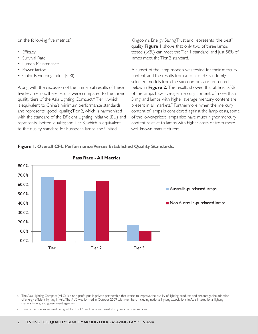on the following five metrics:<sup>5</sup>

- Efficacy
- Survival Rate
- Lumen Maintenance
- Power factor
- Color Rendering Index (CRI)

Along with the discussion of the numerical results of these five key metrics, these results were compared to the three quality tiers of the Asia Lighting Compact:6 Tier 1, which is equivalent to China's minimum performance standards and represents "good" quality; Tier 2, which is harmonized with the standard of the Efficient Lighting Initiative (ELI) and represents "better" quality; and Tier 3, which is equivalent to the quality standard for European lamps, the United

Kingdom's Energy Saving Trust and represents "the best" quality. **Figure 1** shows that only two of three lamps tested (66%) can meet the Tier 1 standard, and just 58% of lamps meet the Tier 2 standard.

A subset of the lamp models was tested for their mercury content, and the results from a total of 43 randomly selected models from the six countries are presented below in **Figure 2.** The results showed that at least 25% of the lamps have average mercury content of more than 5 mg, and lamps with higher average mercury content are present in all markets.<sup>7</sup> Furthermore, when the mercury content of lamps is considered against the lamp costs, some of the lower-priced lamps also have much higher mercury content relative to lamps with higher costs or from more well-known manufacturers.

#### **Figure 1. Overall CFL Performance Versus Established Quality Standards.**



#### **Pass Rate - All Metrics**

6. The Asia Lighting Compact (ALC) is a non-profit public-private partnership that works to improve the quality of lighting products and encourage the adoption of energy-efficient lighting in Asia. The ALC was formed in October 2009 with members including national lighting associations in Asia, international lighting manufacturers, and government agencies.

7. 5 mg is the maximum level being set for the US and European markets by various organizations.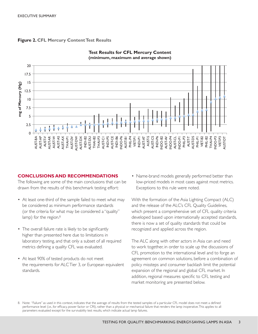



#### **Test Results for CFL Mercury Content (minimum, maximum and average shown)**

#### **CONCLUSIONS AND RECOMMENDATIONS**

The following are some of the main conclusions that can be drawn from the results of this benchmark testing effort:

- At least one-third of the sample failed to meet what may be considered as minimum performance standards (or the criteria for what may be considered a "quality" lamp) for the region. $8$
- The overall failure rate is likely to be significantly higher than presented here due to limitations in laboratory testing, and that only a subset of all required metrics defining a quality CFL was evaluated.
- At least 90% of tested products do not meet the requirements for ALC Tier 3, or European equivalent standards.

• Name-brand models generally performed better than low-priced models in most cases against most metrics. Exceptions to this rule were noted.

With the formation of the Asia Lighting Compact (ALC) and the release of the ALC's CFL Quality Guidelines, which present a comprehensive set of CFL quality criteria developed based upon internationally accepted standards, there is now a set of quality standards that could be recognized and applied across the region.

The ALC along with other actors in Asia can and need to work together, in order to scale up the discussions of CFL promotion to the international level and to forge an agreement on common solutions, before a combination of policy missteps and consumer backlash limit the potential expansion of the regional and global CFL market. In addition, regional measures specific to CFL testing and market monitoring are presented below.

8. Note: "Failure" as used in this context, indicates that the average of results from the tested samples of a particular CFL model does not meet a defined performance level (i.e., for efficacy, power factor or CRI), rather than a physical or mechanical failure that renders the lamp inoperative. This applies to all parameters evaluated except for the survivability test results, which indicate actual lamp failures.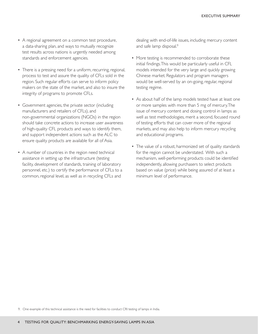- A regional agreement on a common test procedure, a data-sharing plan, and ways to mutually recognize test results across nations is urgently needed among standards and enforcement agencies.
- There is a pressing need for a uniform, recurring, regional, process to test and assure the quality of CFLs sold in the region. Such regular efforts can serve to inform policy makers on the state of the market, and also to insure the integrity of programs to promote CFLs.
- Government agencies, the private sector (including manufacturers and retailers of CFLs), and non-governmental organizations (NGOs) in the region should take concrete actions to increase user awareness of high-quality CFL products and ways to identify them, and support independent actions such as the ALC to ensure quality products are available for all of Asia.
- A number of countries in the region need technical assistance in setting up the infrastructure (testing facility, development of standards, training of laboratory personnel, etc.) to certify the performance of CFLs to a common, regional level, as well as in recycling CFLs and

dealing with end-of-life issues, including mercury content and safe lamp disposal.<sup>9</sup>

- More testing is recommended to corroborate these initial findings. This would be particularly useful in CFL models intended for the very large and quickly growing Chinese market. Regulators and program managers would be well-served by an on-going, regular, regional testing regime.
- As about half of the lamp models tested have at least one or more samples with more than 5 mg of mercury. The issue of mercury content and dosing control in lamps as well as test methodologies, merit a second, focused round of testing efforts that can cover more of the regional markets, and may also help to inform mercury recycling and educational programs.
- The value of a robust, harmonized set of quality standards for the region cannot be understated. With such a mechanism, well-performing products could be identified independently, allowing purchasers to select products based on value (price) while being assured of at least a minimum level of performance.

9. One example of this technical assistance is the need for facilities to conduct CRI testing of lamps in India.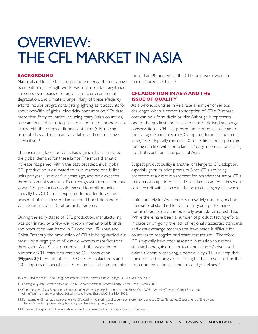## OVERVIEW: THE CFL MARKET IN ASIA

#### **BACKGROUND**

National and local efforts to promote energy efficiency have been gathering strength world-wide, spurred by heightened concerns over issues of energy security, environmental degradation, and climate change. Many of these efficiency efforts include programs targeting lighting, as it accounts for about one-fifth of global electricity consumption.<sup>10</sup> To date, more than forty countries, including many Asian countries, have announced plans to phase out the use of incandescent lamps, with the compact fluorescent lamp (CFL) being promoted as a direct, readily available, and cost effective alternative<sup>11</sup>

The increasing focus on CFLs has significantly accelerated the global demand for these lamps. The most dramatic increase happened within the past decade: annual global CFL production is estimated to have reached one billion units per year just over five years ago, and now exceeds three billion units annually. If current growth trends continue, global CFL production could exceed four billion units annually by 2010. This is expected to accelerate, as the phaseout of incandescent lamps could boost demand of CFLs to as many as 10 billion units per year.

During the early stages of CFL production, manufacturing was dominated by a few well-known international brands and production was based in Europe, the US, Japan, and China. Presently, the production of CFLs is being carried out mostly by a large group of less well-known manufacturers throughout Asia. China currently leads the world in the number of CFL manufacturers and CFL production (**Figure 3**): there are at least 200 CFL manufacturers and 400 suppliers of specialized CFL materials and components;

more than 90 percent of the CFLs sold worldwide are manufactured in China.<sup>12</sup>

### **CFL ADOPTION IN ASIA AND THE ISSUE OF QUALITY**

As a whole, countries in Asia face a number of serious challenges when it comes to adoption of CFLs. Purchase cost can be a formidable barrier. Although it represents one of the quickest and easiest means of delivering energy conservation, a CFL can present an economic challenge to the average Asian consumer. Compared to an incandescent lamp, a CFL typically carries a 10 to 15 times price premium, putting it in line with some families' daily income, and placing it out of reach for many parts of Asia.

Suspect product quality is another challenge to CFL adoption, especially given its price premium. Since CFLs are being promoted as a direct replacement for incandescent lamps, CFLs that do not outperform incandescent lamps can result in serious consumer dissatisfaction with the product category as a whole.

Unfortunately, for Asia, there is no widely used regional or international standard for CFL quality and performance, nor are there widely and publically available lamp test data. While there have been a number of product testing efforts in place or on-going, the lack of regionally accepted standards and data exchange mechanisms have made it difficult for countries to recognize and share test results.13 Therefore, CFLs typically have been assessed in relation to national standards and guidelines or to manufacturers' advertised claims. Generally speaking, a poor-quality CFL is a lamp that burns out faster, or gives off less light, than advertised, or than prescribed by national standards and guidelines.<sup>14</sup>

- 11. *Phasing in Quality: Harmonization of CFLs to Help Asia Address Climate Change.* USAID Asia, March 2009.
- 12. Chen Yanshen, China Response to Phase-out of Inefficient Lighting. Presented at the Phase-Out 2008 Working Towards Global Phase-out of Inefficient Lighting workshop. Sofitel Hyland Hotel, Shanghai, China, May 2008.
- 13. For example, China has a comprehensive CFL quality monitoring and supervision system for domestic CFLs. Philippines Department of Energy and Thailand's Electricity Generating Authority also have testing programs.
- 14. However, this approach does not allow a direct comparison of product quality across the region.

<sup>10.</sup> From Idea to Action: Clean Energy Solution for Asia to Address Climate Change. USAID Asia May 2007.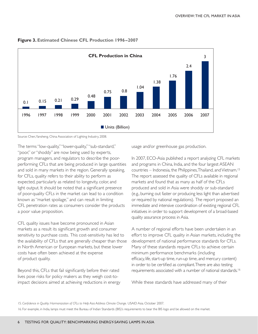

#### **Figure 3. Estimated Chinese CFL Production 1996–2007**

Source: Chen, Yansheng. China Association of Lighting Industry, 2008.

The terms "low-quality," "lower-quality," "sub-standard," "poor," or "shoddy" are now being used by experts, program managers, and regulators to describe the poorperforming CFLs that are being produced in large quantities and sold in many markets in the region. Generally speaking, for CFLs, quality refers to their ability to perform as expected, particularly as related to longevity, color, and light output. It should be noted that a significant presence of poor-quality CFLs in the market can lead to a condition known as "market spoilage," and can result in limiting CFL penetration rates as consumers consider the products a poor value proposition.

CFL quality issues have become pronounced in Asian markets as a result its significant growth and consumer sensitivity to purchase costs. This cost-sensitivity has led to the availability of CFLs that are generally cheaper than those in North American or European markets, but these lower costs have often been achieved at the expense of product quality.

Beyond this, CFLs that fail significantly before their rated lives pose risks for policy makers as they weigh cost-toimpact decisions aimed at achieving reductions in energy usage and/or greenhouse gas production.

In 2007, ECO-Asia published a report analyzing CFL markets and programs in China, India, and the four largest ASEAN countries – Indonesia, the Philippines, Thailand, and Vietnam.15 The report assessed the quality of CFLs available in regional markets and found that as many as half of the CFLs produced and sold in Asia were shoddy or sub-standard (e.g., burning out faster or producing less light than advertised or required by national regulations). The report proposed an immediate and intensive coordination of existing regional CFL initiatives in order to support development of a broad-based quality assurance process in Asia.

A number of regional efforts have been undertaken in an effort to improve CFL quality in Asian markets, including the development of national performance standards for CFLs. Many of these standards require CFLs to achieve certain minimum performance benchmarks (including efficacy, life, start-up time, run-up time, and mercury content) in order to be certified as compliant. There are also testing requirements associated with a number of national standards.16

While these standards have addressed many of their

15. *Confidence in Quality: Harmonization of CFLs to Help Asia Address Climate Change.* USAID Asia. October 2007.

16. For example, in India, lamps must meet the Bureau of Indian Standards (BIS)'s requirements to bear the BIS logo and be allowed on the market.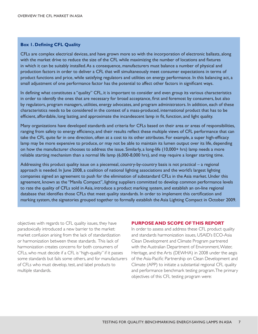#### **Box 1. Defining CFL Quality**

CFLs are complex electrical devices, and have grown more so with the incorporation of electronic ballasts, along with the market drive to reduce the size of the CFL while maximizing the number of locations and fixtures in which it can be suitably installed. As a consequence, manufacturers must balance a number of physical and production factors in order to deliver a CFL that will simultaneously meet consumer expectations in terms of product functions and price, while satisfying regulators and utilities on energy performance. In this balancing act, a small adjustment of one performance factor has the potential to affect other factors in significant ways.

In defining what constitutes a "quality" CFL, it is important to consider and even group its various characteristics in order to identify the ones that are necessary for broad acceptance, first and foremost by consumers, but also by regulators, program managers, utilities, energy advocates, and program administrators. In addition, each of these characteristics needs to be considered in the context of a mass-produced, international product that has to be efficient, affordable, long lasting, and approximate the incandescent lamp in fit, function, and light quality.

Many organizations have developed standards and criteria for CFLs based on their area or areas of responsibilities, ranging from safety to energy efficiency, and their results reflect these multiple views of CFL performance that can take the CFL quite far in one direction, often at a cost to its other attributes. For example, a super high-efficacy lamp may be more expensive to produce, or may not be able to maintain its lumen output over its life, depending on how the manufacturer chooses to address the issue. Similarly, a long-life (10,000+ hrs) lamp needs a more reliable starting mechanism than a normal life lamp (6,000-8,000 hrs), and may require a longer starting time.

Addressing this product quality issue on a piecemeal, country-by-country basis is not practical – a regional approach is needed. In June 2008, a coalition of national lighting associations and the world's largest lighting companies signed an agreement to push for the elimination of substandard CFLs in the Asia market. Under this agreement, known as the "Manila Compact", lighting suppliers committed to develop common performance levels to rate the quality of CFLs sold in Asia, introduce a product marking system, and establish an on-line regional database that identifies those CFLs that meet quality standards. In order to implement this certification and marking system, the signatories grouped together to formally establish the Asia Lighting Compact in October 2009.

objectives with regards to CFL quality issues, they have paradoxically introduced a new barrier to the market: market confusion arising from the lack of standardization or harmonization between these standards. This lack of harmonization creates concerns for both consumers of CFLs, who must decide if a CFL is "high-quality" if it passes some standards but fails some others, and for manufacturers of CFLs who must develop, test, and label products to multiple standards.

#### **PURPOSE AND SCOPE OF THIS REPORT**

In order to assess and address these CFL product quality and standards harmonization issues, USAID's ECO-Asia Clean Development and Climate Program partnered with the Australian Department of Environment, Water, Heritage, and the Arts (DEWHA) in 2008 under the aegis of the Asia-Pacific Partnership on Clean Development and Climate (APP) to initiate a substantial regional CFL quality and performance benchmark testing program. The primary objectives of this CFL testing program were: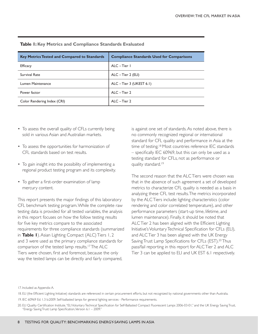| <b>Key Metrics Tested and Compared to Standards</b> | <b>Compliance Standards Used for Comparisons</b> |
|-----------------------------------------------------|--------------------------------------------------|
| <b>Efficacy</b>                                     | ALC-Tier I                                       |
| <b>Survival Rate</b>                                | $ALC - Tier 2 (ELI)$                             |
| Lumen Maintenance                                   | ALC - Tier 3 (UKEST 6.1)                         |
| Power factor                                        | ALC-Tier 2                                       |
| Color Rendering Index (CRI)                         | ALC-Tier 2                                       |

#### **Table 1: Key Metrics and Compliance Standards Evaluated**

- To assess the overall quality of CFLs currently being sold in various Asian and Australian markets.
- To assess the opportunities for harmonization of CFL standards based on test results.
- To gain insight into the possibility of implementing a regional product testing program and its complexity.
- To gather a first-order examination of lamp mercury content.

This report presents the major findings of this laboratory CFL benchmark testing program. While the complete raw testing data is provided for all tested variables, the analysis in this report focuses on how the follow testing results for five key metrics compare to the associated requirements for three compliance standards (summarized in **Table 1**). Asian Lighting Compact (ALC) Tiers 1, 2 and 3 were used as the primary compliance standards for comparison of the tested lamp results.17 The ALC Tiers were chosen, first and foremost, because the only way the tested lamps can be directly and fairly compared,

is against one set of standards. As noted above, there is no commonly recognized regional or international standard for CFL quality and performance in Asia at the time of testing.<sup>18</sup> Most countries reference IEC standards – specifically IEC 60969, but this can only be used as a testing standard for CFLs, not as performance or quality standard.19

The second reason that the ALC Tiers were chosen was that in the absence of such agreement a set of developed metrics to characterize CFL quality is needed as a basis in analyzing these CFL test results. The metrics incorporated by the ALC Tiers include: lighting characteristics (color rendering and color correlated temperature), and other performance parameters (start-up time, lifetime, and lumen maintenance). Finally, it should be noted that ALC Tier 2 has been aligned with the Efficient Lighting Initiative's Voluntary Technical Specification for CFLs (ELI), and ALC Tier 3 has been aligned with the UK Energy Saving Trust Lamp Specifications for CFLs (EST).20 Thus pass/fail reporting in this report for ALC Tier 2 and ALC Tier 3 can be applied to ELI and UK EST 6.1 respectively.

17. Included as Appendix A.

18. ELI (the Efficient Lighting Initiative) standards are referenced in certain procurement efforts, but not recognized by national governments other than Australia.

19. IEC 60969 Ed. 1.3 b:2009. Self-ballasted lamps for general lighting services - Performance requirements.

<sup>20.</sup> ELI Quality Certification Institute, "ELI Voluntary Technical Specification for Self-Ballasted Compact Fluorescent Lamps 2006-03-01," and the UK Energy Saving Trust, "Energy Saving Trust: Lamp Specification, Version 6.1 – 2009."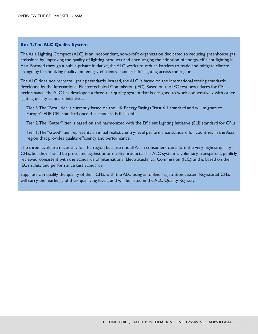#### **Box 2. The ALC Quality System**

The Asia Lighting Compact (ALC) is an independent, non-profit organization dedicated to reducing greenhouse gas emissions by improving the quality of lighting products and encouraging the adoption of energy-efficient lighting in Asia. Formed through a public-private initiative, the ALC works to reduce barriers to trade and mitigate climate change by harmonizing quality and energy-efficiency standards for lighting across the region.

The ALC does not recreate lighting standards. Instead, the ALC is based on the international testing standards developed by the International Electrotechnical Commission (IEC). Based on the IEC test procedures for CFL performance, the ALC has developed a three-tier quality system that is designed to work cooperatively with other lighting quality standard initiatives.

Tier 3. The "Best" tier is currently based on the UK Energy Savings Trust 6.1 standard and will migrate to Europe's EUP CFL standard once this standard is finalized.

Tier 2. The "Better" tier is based on and harmonized with the Efficient Lighting Initiative (ELI) standard for CFLs.

Tier 1. The "Good" tier represents an initial realistic entry-level performance standard for countries in the Asia region that provides quality, efficiency and performance.

The three levels are necessary for the region because not all Asian consumers can afford the very highest quality CFLs, but they should be protected against poor-quality products. This ALC system is voluntary, transparent, publicly reviewed, consistent with the standards of International Electrotechnical Commission (IEC), and is based on the IEC's safety and performance test standards.

Suppliers can qualify the quality of their CFLs with the ALC using an online registration system. Registered CFLs will carry the markings of their qualifying levels, and will be listed in the ALC Quality Registry.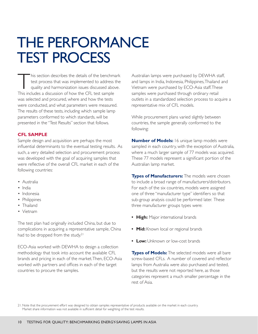## THE PERFORMANCE TEST PROCESS

This section describes the details of the benchmark<br>test process that was implemented to address the<br>quality and harmonization issues discussed above.<br>This includes a discussion of bow the CEL test sample test process that was implemented to address the quality and harmonization issues discussed above. This includes a discussion of how the CFL test sample was selected and procured, where and how the tests were conducted, and what parameters were measured. The results of these tests, including which sample lamp parameters conformed to which standards, will be presented in the "Test Results" section that follows.

#### **CFL SAMPLE**

Sample design and acquisition are perhaps the most influential determinants to the eventual testing results. As such, a very detailed selection and procurement process was developed with the goal of acquiring samples that were reflective of the overall CFL market in each of the following countries:

- Australia
- India
- Indonesia
- Philippines
- Thailand
- Vietnam

The test plan had originally included China, but due to complications in acquiring a representative sample, China had to be dropped from the study.<sup>21</sup>

ECO-Asia worked with DEWHA to design a collection methodology that took into account the available CFL brands and pricing in each of the market. Then, ECO-Asia worked with partners and offices in each of the target countries to procure the samples.

Australian lamps were purchased by DEWHA staff, and lamps in India, Indonesia, Philippines, Thailand and Vietnam were purchased by ECO-Asia staff. These samples were purchased through ordinary retail outlets in a standardized selection process to acquire a representative mix of CFL models.

While procurement plans varied slightly between countries, the sample generally conformed to the following:

**Number of Models:** 16 unique lamp models were sampled in each country, with the exception of Australia, where a much larger sample of 77 models was acquired. These 77 models represent a significant portion of the Australian lamp market.

**Types of Manufacturers:** The models were chosen to include a broad range of manufacturers/distributors. For each of the six countries, models were assigned one of three "manufacturer type" identifiers so that sub-group analysis could be performed later. These three manufacturer groups types were:

- **High:** Major international brands
- **Mid:** Known local or regional brands
- **Low:** Unknown or low-cost brands

**Types of Models:** The selected models were all bare screw-based CFLs. A number of covered and reflector lamps from Australia were also purchased and tested, but the results were not reported here, as those categories represent a much smaller percentage in the rest of Asia.

21. Note that the procurement effort was designed to obtain samples representative of products available on the market in each country. Market share information was not available in sufficient detail for weighting of the test results.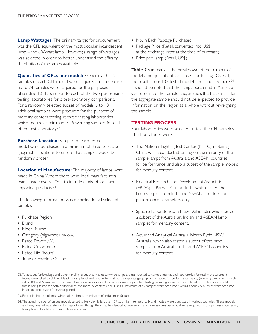**Lamp Wattages:** The primary target for procurement was the CFL equivalent of the most popular incandescent lamp – the 60-Watt lamp. However, a range of wattages was selected in order to better understand the efficacy distribution of the lamps available.

**Quantities of CFLs per model:** Generally 10–12 samples of each CFL model were acquired. In some cases up to 24 samples were acquired for the purposes of sending 10–12 samples to each of the two performance testing laboratories for cross-laboratory comparisons. For a randomly selected subset of models, 6 to 18 additional samples were procured for the purpose of mercury content testing at three testing laboratories, which requires a minimum of 5 working samples for each of the test laboratory.22

**Purchase Location:** Samples of each tested model were purchased in a minimum of three separate geographic locations to ensure that samples would be randomly chosen.

**Location of Manufacture:** The majority of lamps were made in China. Where there were local manufacturers, teams made every effort to include a mix of local and imported products.23

The following information was recorded for all selected samples:

- Purchase Region
- Brand
- Model Name
- Category (high/medium/low)
- Rated Power (W)
- Rated Color Temp
- Rated Life (hours)
- Tube or Envelope Shape
- No. in Each Package Purchased
- Package Price (Retail, converted into US\$ at the exchange rates at the time of purchase).
- Price per Lamp (Retail, US\$)

**Table 2** summarizes the breakdown of the number of models and quantity of CFLs used for testing. Overall, the results from 137 tested models are reported here.<sup>24</sup> It should be noted that the lamps purchased in Australia CFL dominate the sample and, as such, the test results for the aggregate sample should not be expected to provide information on the region as a whole without reweighting the sample.

#### **TESTING PROCESS**

Four laboratories were selected to test the CFL samples. The laboratories were:

- The National Lighting Test Center (NLTC) in Beijing, China, which conducted testing on the majority of the sample lamps from Australia and ASEAN countries for performance, and also a subset of the sample models for mercury content.
- Electrical Research and Development Association (ERDA) in Baroda, Gujarat, India, which tested the lamp samples from India and ASEAN countries for performance parameters only.
- Spectro Laboratories, in New Delhi, India, which tested a subset of the Australian, Indian, and ASEAN lamp samples for mercury content.
- Advanced Analytical Australia, North Ryde NSW, Australia, which also tested a subset of the lamp samples from Australia, India, and ASEAN countries for mercury content.
- 22. To account for breakage and other handling issues that may occur when lamps are transported to various international laboratories for testing, procurement teams were asked to obtain at least 12 samples of each model from at least 3 separate geographical locations for performance testing (ensuring a minimum sample set of 10), and 6 samples from at least 3 separate geographical locations for mercury content testing (ensuring a minimum sample set of 5). Thus for a model that is being tested for both performance and mercury content at all 4 labs, a maximum of 42 samples were procured. Overall, about 2,600 lamps were procured in six countries over a four-week period.
- 23. Except in the case of India, where all the lamps tested were of Indian manufacture.
- 24. The actual number of unique models tested is likely slightly less than 137 as similar international brand models were purchased in various countries. These models are being treated separately in this report even though they may be identical. Conversely, many more samples per model were required for this process since testing took place in four laboratories in three countries.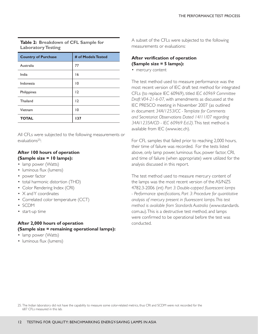### **Table 2: Breakdown of CFL Sample for Laboratory Testing**

| <b>Country of Purchase</b> | # of Models Tested |
|----------------------------|--------------------|
| Australia                  | 77                 |
| India                      | 16                 |
| Indonesia                  | 10                 |
| Philippines                | 12                 |
| Thailand                   | 12                 |
| Vietnam                    | 10                 |
| <b>TOTAL</b>               | 137                |

All CFLs were subjected to the following measurements or evaluations25:

## **After 100 hours of operation (Sample size = 10 lamps):**

- lamp power (Watts)
- luminous flux (lumens)
- power factor
- total harmonic distortion (THD)
- Color Rendering Index (CRI)
- X and Y coordinates
- Correlated color temperature (CCT)
- SCDM
- start-up time

## **After 2,000 hours of operation (Sample size = remaining operational lamps):**

- lamp power (Watts)
- luminous flux (lumens)

A subset of the CFLs were subjected to the following measurements or evaluations:

## **After verification of operation (Sample size = 5 lamps):**

• mercury content

The test method used to measure performance was the most recent version of IEC draft test method for integrated CFLs (to replace IEC 60969), titled *IEC 60969 Committee Draft V04-21-6-07,* with amendments as discussed at the IEC PRESCO meeting in November 2007 (as outlined in document *34A/1253/CC - Template for Comments and Secretariat Observations Dated 14/11/07 regarding 34A/1235A/CD - IEC 60969 Ed.2).* This test method is available from IEC (www.iec.ch).

For CFL samples that failed prior to reaching 2,000 hours, their time of failure was recorded. For the tests listed above, only lamp power, luminous flux, power factor, CRI, and time of failure (when appropriate) were utilized for the analysis discussed in this report.

The test method used to measure mercury content of the lamps was the most recent version of the AS/NZS 4782.3-2006 (int) *Part 3: Double-capped fluorescent lamps - Performance specifications, Part 3: Procedure for quantitative analysis of mercury present in fluorescent lamps. This test method is available from Standards Australia* (www.standards. com.au). This is a destructive test method, and lamps were confirmed to be operational before the test was conducted.

25. The Indian laboratory did not have the capability to measure some color-related metrics, thus CRI and SCDM were not recorded for the 687 CFLs measured in this lab.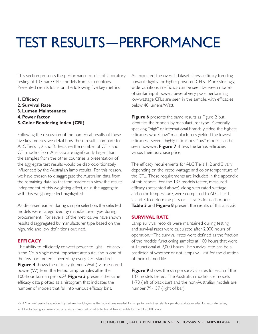# TEST RESULTS—PERFORMANCE

This section presents the performance results of laboratory testing of 137 bare CFLs models from six countries. Presented results focus on the following five key metrics:

- **1. Efficacy**
- **2. Survival Rate**
- **3. Lumen Maintenance**
- **4. Power factor**
- **5. Color Rendering Index (CRI)**

Following the discussion of the numerical results of these five key metrics, we detail how these results compare to ALC Tiers 1, 2 and 3. Because the number of CFLs and CFL models from Australia are significantly larger than the samples from the other countries, a presentation of the aggregate test results would be disproportionately influenced by the Australian lamp results. For this reason, we have chosen to disaggregate the Australian data from the remaining data so that the reader can view the results independent of this weighting effect, or in the aggregate with this weighting effect highlighted.

As discussed earlier, during sample selection, the selected models were categorized by manufacturer type during procurement. For several of the metrics, we have shown results disaggregated by manufacturer type based on the high, mid and low definitions outlined.

#### **EFFICACY**

The ability to efficiently convert power to light – efficacy – is the CFL's single most important attribute, and is one of the few parameters covered by every CFL standard. **Figure 4** shows the efficacy (lumens/Watt) vs. measured power (W) from the tested lamp samples after the 100-hour burn-in period.25 **Figure 5** presents the same efficacy data plotted as a histogram that indicates the number of models that fall into various efficacy bins.

As expected, the overall dataset shows efficacy trending upward slightly for higher-powered CFLs. More strikingly, wide variations in efficacy can be seen between models of similar input power. Several very poor performing low-wattage CFLs are seen in the sample, with efficacies below 40 lumens/Watt.

**Figure 6** presents the same results as Figure 2 but identifies the models by manufacturer type. Generally speaking, "high" or international brands yielded the highest efficacies, while "low" manufacturers yielded the lowest efficacies. Several highly efficacious "low" models can be seen, however. **Figure 7** shows the lamps' efficacies versus their purchase price.

The efficacy requirements for ALC Tiers 1, 2 and 3 vary depending on the rated wattage and color temperature of the CFL. These requirements are included in the appendix of this report. For the 137 models tested, measured efficacy (presented above), along with rated wattage and color temperature, were compared to ALC Tier 1, 2, and 3 to determine pass or fail rates for each model. **Table 3** and **Figure 8** present the results of this analysis.

#### **SURVIVAL RATE**

Lamp survival records were maintained during testing and survival rates were calculated after 2,000 hours of operation.26 The survival rates were defined as the fraction of the models' functioning samples at 100 hours that were still functional at 2,000 hours. The survival rate can be a predictor of whether or not lamps will last for the duration of their claimed life.

**Figure 9** shows the sample survival rates for each of the 137 models tested. The Australian models are models 1-78 (left of black bar) and the non-Australian models are number 79-137 (right of bar).

25. A "burn-in" period is specified by test methodologies as the typical time needed for lamps to reach their stable operational state needed for accurate testing. 26. Due to timing and resource constraints, it was not possible to test all lamp models for the full 6,000 hours.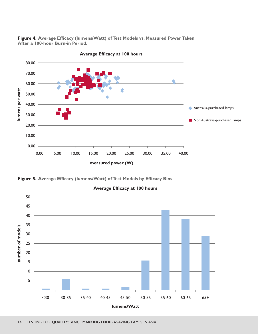**Figure 4. Average Efficacy (lumens/Watt) of Test Models vs. Measured Power Taken After a 100-hour Burn-in Period.** 



**Average Efficacy at 100 hours**

**Figure 5. Average Efficacy (lumens/Watt) of Test Models by Efficacy Bins**



**Average Efficacy at 100 hours**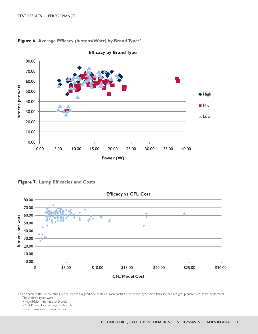

**Figure 6. Average Efficacy (lumens/Watt) by Brand Type27**

**Figure 7. Lamp Efficacies and Costs**



27. For each of the six countries, models were assigned one of three "manufacturer" or 'brand" type identifiers so that sub-group analysis could be performed. These three types were:

• High: Major international brands

• Mid: Known local or regional brands

• Low: Unknown or low-cost brands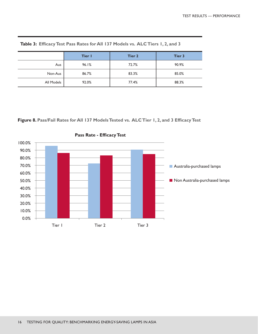|            | Tier I | Tier 2 | Tier 3 |
|------------|--------|--------|--------|
| Aus        | 96.1%  | 72.7%  | 90.9%  |
| Non-Aus    | 86.7%  | 83.3%  | 85.0%  |
| All Models | 92.0%  | 77.4%  | 88.3%  |

**Table 3: Efficacy Test Pass Rates for All 137 Models vs. ALC Tiers 1, 2, and 3**

**Figure 8. Pass/Fail Rates for All 137 Models Tested vs. ALC Tier 1, 2, and 3 Efficacy Test**



**Pass Rate - Efficacy Test**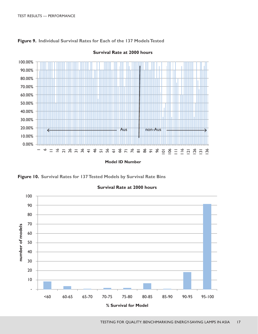

#### **Figure 9. Individual Survival Rates for Each of the 137 Models Tested**

**Figure 10. Survival Rates for 137 Tested Models by Survival Rate Bins**



#### **Survival Rate at 2000 hours**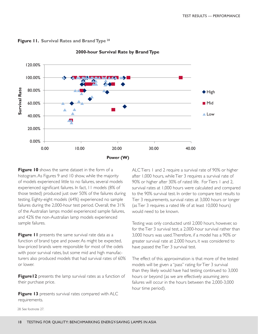**Figure 11. Survival Rates and Brand Type <sup>28</sup>**



**2000-hour Survival Rate by Brand Type**

**Figure 10** shows the same dataset in the form of a histogram. As Figures 9 and 10 show, while the majority of models experienced little to no failures, several models experienced significant failures. In fact, 11 models (8% of those tested) produced just over 50% of the failures during testing. Eighty-eight models (64%) experienced no sample failures during the 2,000-hour test period. Overall, the 31% of the Australian lamps model experienced sample failures, and 42% the non-Australian lamp models experienced sample failures.

**Figure 11** presents the same survival rate data as a function of brand type and power. As might be expected, low-priced brands were responsible for most of the odels with poor survival rates, but some mid and high manufacturers also produced models that had survival rates of 60% or lower.

**Figure 12** presents the lamp survival rates as a function of their purchase price.

**Figure 13** presents survival rates compared with ALC requirements.

ALC Tiers 1 and 2 require a survival rate of 90% or higher after 1,000 hours, while Tier 3 requires a survival rate of 90% or higher after 30% of rated life. For Tiers 1 and 2, survival rates at 1,000 hours were calculated and compared to the 90% survival test. In order to compare test results to Tier 3 requirements, survival rates at 3,000 hours or longer (as Tier 3 requires a rated life of at least 10,000 hours) would need to be known.

Testing was only conducted until 2,000 hours, however, so for the Tier 3 survival test, a 2,000-hour survival rather than 3,000 hours was used. Therefore, if a model has a 90% or greater survival rate at 2,000 hours, it was considered to have passed the Tier 3 survival test.

The effect of this approximation is that more of the tested models will be given a "pass" rating for Tier 3 survival than they likely would have had testing continued to 3,000 hours or beyond (as we are effectively assuming zero failures will occur in the hours between the 2,000-3,000 hour time period).

28. See footnote 27.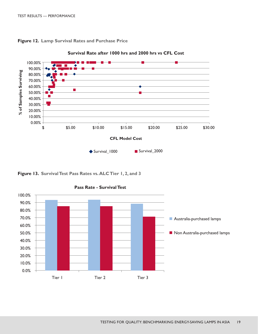

**Figure 12. Lamp Survival Rates and Purchase Price**

**Figure 13. Survival Test Pass Rates vs. ALC Tier 1, 2, and 3**



#### **Pass Rate - Survival Test**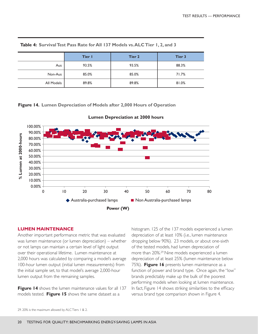|            | Tier I | <b>Tier 2</b> | Tier 3 |
|------------|--------|---------------|--------|
| Aus        | 93.5%  | 93.5%         | 88.3%  |
| Non-Aus    | 85.0%  | 85.0%         | 71.7%  |
| All Models | 89.8%  | 89.8%         | 81.0%  |

**Table 4: Survival Test Pass Rate for All 137 Models vs. ALC Tier 1, 2, and 3**

**Figure 14. Lumen Depreciation of Models after 2,000 Hours of Operation**



**Lumen Depreciation at 2000 hours**

#### **LUMEN MAINTENANCE**

Another important performance metric that was evaluated was lumen maintenance (or lumen depreciation) – whether or not lamps can maintain a certain level of light output over their operational lifetime. Lumen maintenance at 2,000 hours was calculated by comparing a model's average 100-hour lumen output (initial lumen measurements) from the initial sample set, to that model's average 2,000-hour lumen output from the remaining samples.

**Figure 14** shows the lumen maintenance values for all 137 models tested. **Figure 15** shows the same dataset as a

histogram. 125 of the 137 models experienced a lumen depreciation of at least 10% (i.e., lumen maintenance dropping below 90%). 23 models, or about one-sixth of the tested models, had lumen depreciation of more than 20%.29 Nine models experienced a lumen depreciation of at least 25% (lumen maintenance below 75%). **Figure 16** presents lumen maintenance as a function of power and brand type. Once again, the "low" brands predictably make up the bulk of the poorest performing models when looking at lumen maintenance. In fact, Figure 14 shows striking similarities to the efficacy versus brand type comparison shown in Figure 4.

29. 20% is the maximum allowed by ALC Tiers 1 & 2.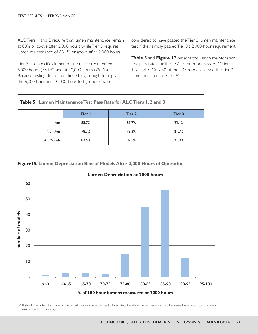ALC Tiers 1 and 2 require that lumen maintenance remain at 80% or above after 2,000 hours while Tier 3 requires lumen maintenance of 88.1% or above after 2,000 hours.

Tier 3 also specifies lumen maintenance requirements at 6,000 hours (78.1%) and at 10,000 hours (75.1%). Because testing did not continue long enough to apply the 6,000-hour and 10,000-hour tests, models were

considered to have passed the Tier 3 lumen maintenance test if they simply passed Tier 3's 2,000-hour requirement.

**Table 5** and **Figure 17** present the lumen maintenance test pass rates for the 137 tested models vs. ALC Tiers 1, 2, and 3. Only 30 of the 137 models passed the Tier 3 lumen maintenance test.30

| Table 5: Lumen Maintenance Test Pass Rate for ALC Tiers 1, 2 and 3 |  |  |  |
|--------------------------------------------------------------------|--|--|--|
|--------------------------------------------------------------------|--|--|--|

|            | Tier I | Tier 2 | Tier 3 |
|------------|--------|--------|--------|
| Aus        | 85.7%  | 85.7%  | 22.1%  |
| Non-Aus    | 78.3%  | 78.3%  | 21.7%  |
| All Models | 82.5%  | 82.5%  | 21.9%  |

#### **Figure15. Lumen Depreciation Bins of Models After 2,000 Hours of Operation**



#### **Lumen Depreciation at 2000 hours**

30. It should be noted that none of the tested models claimed to be EST certified, therefore the test results should be viewed as an indicator of current market performance only.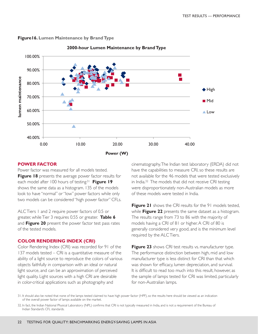

#### **Figure16. Lumen Maintenance by Brand Type**

**2000-hour Lumen Maintenance by Brand Type**

#### **POWER FACTOR**

Power factor was measured for all models tested. **Figure 18** presents the average power factor results for each model after 100 hours of testing.31 **Figure 19**  shows the same data as a histogram. 135 of the models look to have "normal" or "low" power factors while only two models can be considered "high power factor" CFLs.

ALC Tiers 1 and 2 require power factors of 0.5 or greater, while Tier 3 requires 0.55 or greater. **Table 6**  and **Figure 20** present the power factor test pass rates of the tested models.

#### **COLOR RENDERING INDEX (CRI)**

Color Rendering Index (CRI) was recorded for 91 of the 137 models tested – CRI is a quantitative measure of the ability of a light source to reproduce the colors of various objects faithfully in comparison with an ideal or natural light source, and can be an approximation of perceived light quality. Light sources with a high CRI are desirable in color-critical applications such as photography and

cinematography. The Indian test laboratory (ERDA) did not have the capabilities to measure CRI, so these results are not available for the 46 models that were tested exclusively in India.32 The models that did not receive CRI testing were disproportionately non-Australian models as more of these models were tested in India.

**Figure 21** shows the CRI results for the 91 models tested, while **Figure 22** presents the same dataset as a histogram. The results range from 73 to 86 with the majority of models having a CRI of 81 or higher. A CRI of 80 is generally considered very good, and is the minimum level required by the ALC Tiers.

**Figure 23** shows CRI test results vs. manufacturer type. The performance distinction between high, mid and low manufacturer type is less distinct for CRI than that which was shown for efficacy, lumen depreciation, and survival. It is difficult to read too much into this result, however, as the sample of lamps tested for CRI was limited, particularly for non-Australian lamps.

31. It should also be noted that none of the lamps tested claimed to have high power factor (HPF), so the results here should be viewed as an indication of the overall power factor of lamps available on the market.

<sup>32.</sup> In fact, the Indian National Physical Laboratory (NPL) confirms that CRI is not typically measured in India, and is not a requirement of the Bureau of Indian Standard's CFL standards.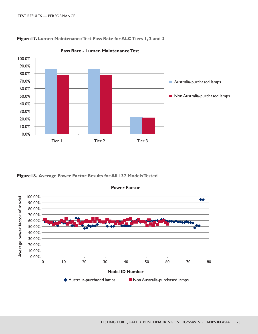



**Pass Rate - Lumen Maintenance Test**

**Figure18. Average Power Factor Results for All 137 Models Tested**



#### **Power Factor**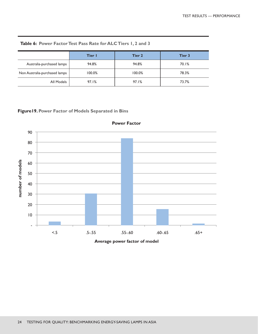|                               | Tier I | Tier 2 | Tier 3 |
|-------------------------------|--------|--------|--------|
| Australia-purchased lamps     | 94.8%  | 94.8%  | 70.1%  |
| Non Australia-purchased lamps | 100.0% | 100.0% | 78.3%  |
| All Models                    | 97.1%  | 97.1%  | 73.7%  |

**Table 6: Power Factor Test Pass Rate for ALC Tiers 1, 2 and 3**

## **Figure19. Power Factor of Models Separated in Bins**



**Power Factor**

**Average power factor of model**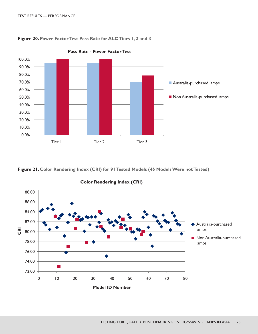



**Pass Rate - Power Factor Test**

**Figure 21. Color Rendering Index (CRI) for 91 Tested Models (46 Models Were not Tested)**



**Color Rendering Index (CRI)**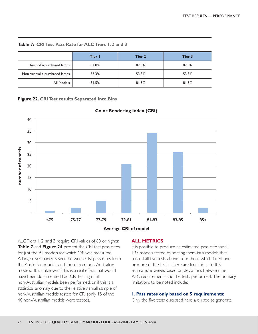**Table 7: CRI Test Pass Rate for ALC Tiers 1, 2 and 3**

|                               | Tier I | Tier 2 | Tier 3 |
|-------------------------------|--------|--------|--------|
| Australia-purchased lamps     | 87.0%  | 87.0%  | 87.0%  |
| Non Australia-purchased lamps | 53.3%  | 53.3%  | 53.3%  |
| All Models                    | 81.5%  | 81.5%  | 81.5%  |

**Figure 22. CRI Test results Separated Into Bins**



#### **Color Rendering Index (CRI)**

**Average CRI of model**

ALC Tiers 1, 2, and 3 require CRI values of 80 or higher. **Table 7** and **Figure 24** present the CRI test pass rates for just the 91 models for which CRI was measured. A large discrepancy is seen between CRI pass rates from the Australian models and those from non-Australian models. It is unknown if this is a real effect that would have been documented had CRI testing of all non-Australian models been performed, or if this is a statistical anomaly due to the relatively small sample of non-Australian models tested for CRI (only 15 of the 46 non-Australian models were tested).

#### **ALL METRICS**

It is possible to produce an estimated pass rate for all 137 models tested by sorting them into models that passed all five tests above from those which failed one or more of the tests. There are limitations to this estimate, however, based on deviations between the ALC requirements and the tests performed. The primary limitations to be noted include:

#### **1. Pass rates only based on 5 requirements:**

Only the five tests discussed here are used to generate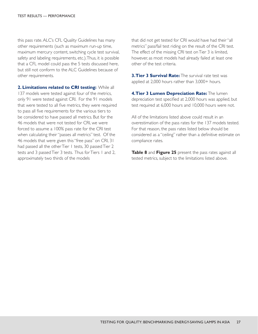this pass rate. ALC's CFL Quality Guidelines has many other requirements (such as maximum run-up time, maximum mercury content, switching cycle test survival, safety and labeling requirements, etc.). Thus, it is possible that a CFL model could pass the 5 tests discussed here, but still not conform to the ALC Guidelines because of other requirements.

**2. Limitations related to CRI testing:** While all 137 models were tested against four of the metrics, only 91 were tested against CRI. For the 91 models that were tested to all five metrics, they were required to pass all five requirements for the various tiers to be considered to have passed all metrics. But for the 46 models that were not tested for CRI, we were forced to assume a 100% pass rate for the CRI test when calculating their "passes all metrics" test. Of the 46 models that were given this "free pass" on CRI, 31 had passed all the other Tier 1 tests, 30 passed Tier 2 tests and 3 passed Tier 3 tests. Thus for Tiers 1 and 2, approximately two thirds of the models

that did not get tested for CRI would have had their "all metrics" pass/fail test riding on the result of the CRI test. The effect of the missing CRI test on Tier 3 is limited, however, as most models had already failed at least one other of the test criteria.

**3. Tier 3 Survival Rate:** The survival rate test was applied at 2,000 hours rather than 3,000+ hours.

**4. Tier 3 Lumen Depreciation Rate:** The lumen depreciation test specified at 2,000 hours was applied, but test required at 6,000 hours and 10,000 hours were not.

All of the limitations listed above could result in an overestimation of the pass rates for the 137 models tested. For that reason, the pass rates listed below should be considered as a "ceiling" rather than a definitive estimate on compliance rates.

**Table 8** and **Figure 25** present the pass rates against all tested metrics, subject to the limitations listed above.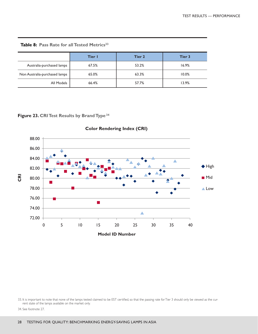|                               | Tier I | Tier 2 | Tier 3 |
|-------------------------------|--------|--------|--------|
| Australia-purchased lamps     | 67.5%  | 53.2%  | 16.9%  |
| Non Australia-purchased lamps | 65.0%  | 63.3%  | 10.0%  |
| All Models                    | 66.4%  | 57.7%  | 13.9%  |

Table 8: Pass Rate for all Tested Metrics<sup>33</sup>

**Figure 23. CRI Test Results by Brand Type34**



**Color Rendering Index (CRI)**

34. See footnote 27.

<sup>33.</sup> It is important to note that none of the lamps tested claimed to be EST certified, so that the passing rate for Tier 3 should only be viewed as the current state of the lamps available on the market only.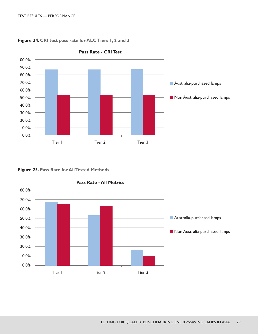

**Figure 24. CRI test pass rate for ALC Tiers 1, 2 and 3**

**Figure 25. Pass Rate for All Tested Methods**



**Pass Rate - All Metrics**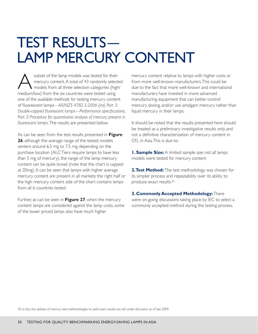## TEST RESULTS— LAMP MERCURY CONTENT

subset of the lamp models was tested for their<br>mercury content. A total of 43 randomly selected<br>models from all three selection categories (high<br>model from the six countries were tested using mercury content. A total of 43 randomly selected models from all three selection categories (high/ medium/low) from the six countries were tested using one of the available methods for testing mercury content of fluorescent lamps—*AS/NZS 4782.3-2006 (int) Part 3: Double-capped fluorescent lamps—Performance specifications,*  Part 3: Procedure for quantitative analysis of mercury present in *fluorescent lamps.* The results are presented below.

As can be seen from the test results presented in **Figure 26**, although the average range of the tested models centers around 6.5 mg to 7.5 mg depending on the purchase location (ALC Tiers require lamps to have less than 5 mg of mercury), the range of the lamp mercury content can be quite broad (note that the chart is capped at 20mg). It can be seen that lamps with higher average mercury content are present in all markets: the right half or the high mercury content side of the chart contains lamps from all 6 countries tested.

Further, as can be seen in **Figure 27**, when the mercury content lamps are considered against the lamp costs, some of the lower priced lamps also have much higher

mercury content relative to lamps with higher costs or from more well-known manufacturers. This could be due to the fact that more well-known and international manufacturers have invested in more advanced manufacturing equipment that can better control mercury dosing, and/or use amalgam mercury rather than liquid mercury in their lamps.

It should be noted that the results presented here should be treated as a preliminary investigative results only, and not a definitive characterization of mercury content in CFL in Asia. This is due to:

**1. Sample Size:** A limited sample size: not all lamps models were tested for mercury content

**2. Test Method:** The test methodology was chosen for its simpler process and repeatability over its ability to produce exact results.35

**3. Commonly Accepted Methodology:** There were on-going discussions taking place by IEC to select a commonly accepted method during the testing process.

35. In fact, the abilities of mercury test methodologies to yield exact results are still under discussion as of late 2009.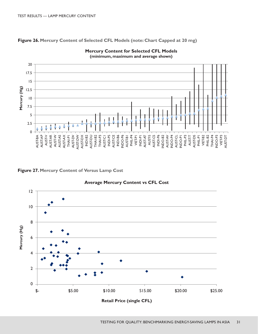**Figure 26. Mercury Content of Selected CFL Models (note: Chart Capped at 20 mg)**



**Mercury Content for Selected CFL Models (minimum, maximum and average shown)**

**Figure 27. Mercury Content of Versus Lamp Cost**



**Average Mercury Content vs CFL Cost**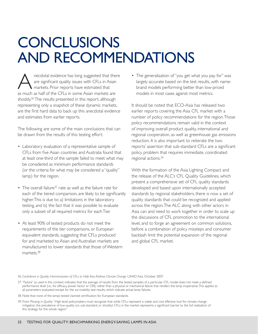## **CONCLUSIONS** AND RECOMMENDATIONS

A necdotal evidence has long suggested that there<br>are significant quality issues with CFLs in Asian<br>markets. Prior reports have estimated that are significant quality issues with CFLs in Asian markets. Prior reports have estimated that as much as half of the CFLs in some Asian markets are shoddy.<sup>36</sup> The results presented in this report, although representing only a snapshot of these dynamic markets, are the first hard data to back up this anecdotal evidence and estimates from earlier reports.

The following are some of the main conclusions that can be drawn from the results of this testing effort:

- Laboratory evaluation of a representative sample of CFLs from five Asian countries and Australia found that at least one-third of the sample failed to meet what may be considered as minimum performance standards (or the criteria for what may be considered a "quality" lamp) for the region.
- The overall failure<sup>37</sup> rate as well as the failure rate for each of the tiered comparison, are likely to be significantly higher. This is due to: a) limitations in the laboratory testing, and b) the fact that it was possible to evaluate only a subset of all required metrics for each Tier.
- At least 90% of tested products do not meet the requirements of the tier comparisons, or European equivalent standards, suggesting that CFLs produced for and marketed to Asian and Australian markets are manufactured to lower standards that those of Western markets.<sup>38</sup>

• The generalization of "you get what you pay for" was largely accurate based on the test results, with namebrand models performing better than low-priced models in most cases against most metrics.

It should be noted that ECO-Asia has released two earlier reports covering the Asia CFL market with a number of policy recommendations for the region. Those policy recommendations remain valid in the context of improving overall product quality, international and regional cooperation, as well as greenhouse gas emissions reduction. It is also important to reiterate the two reports' assertion that sub-standard CFLs are a significant policy problem that requires immediate, coordinated regional actions.39

With the formation of the Asia Lighting Compact and the release of the ALC's CFL Quality Guidelines, which present a comprehensive set of CFL quality standards developed and based upon internationally accepted standards by regional stakeholders, there is now a set of quality standards that could be recognized and applied across the region. The ALC along with other actors in Asia can and need to work together in order to scale up the discussions of CFL promotion to the international level, and to forge an agreement on common solutions, before a combination of policy missteps and consumer backlash limit the potential expansion of the regional and global CFL market.

36. *Confidence in Quality: Harmonization of CFLs to Help Asia Address Climate Change.* USAID Asia. October 2007.

- 37. "Failure" as used in this context, indicates that the average of results from the tested samples of a particular CFL model does not meet a defined performance level (i.e., for efficacy, power factor or CRI), rather than a physical or mechanical failure that renders the lamp inoperative. This applies to all parameters evaluated except for the survivability test results, which indicate actual lamp failures.
- 38. Note that none of the lamps tested claimed certification for European standards.
- 39. From *Phasing in Quality:* "High-level policymakers must recognize that while CFLs represent a viable and cost effective tool for climate change mitigation, the prevalence of low-quality (i.e. sub-standard, or shoddy) CFLs in the market represents a significant barrier to the full realization of this strategy for the whole region."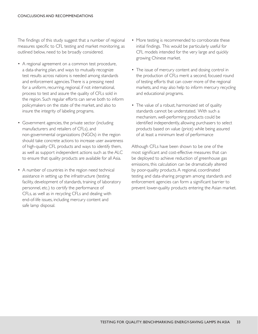The findings of this study suggest that a number of regional measures specific to CFL testing and market monitoring, as outlined below, need to be broadly considered.

- A regional agreement on a common test procedure, a data-sharing plan, and ways to mutually recognize test results across nations is needed among standards and enforcement agencies. There is a pressing need for a uniform, recurring, regional, if not international, process to test and assure the quality of CFLs sold in the region. Such regular efforts can serve both to inform policymakers on the state of the market, and also to insure the integrity of labeling programs.
- Government agencies, the private sector (including manufacturers and retailers of CFLs), and non-governmental organizations (NGOs) in the region should take concrete actions to increase user awareness of high-quality CFL products and ways to identify them, as well as support independent actions such as the ALC to ensure that quality products are available for all Asia.
- A number of countries in the region need technical assistance in setting up the infrastructure (testing facility, development of standards, training of laboratory personnel, etc.) to certify the performance of CFLs, as well as in recycling CFLs and dealing with end-of-life issues, including mercury content and safe lamp disposal.
- More testing is recommended to corroborate these initial findings. This would be particularly useful for CFL models intended for the very large and quickly growing Chinese market.
- The issue of mercury content and dosing control in the production of CFLs merit a second, focused round of testing efforts that can cover more of the regional markets, and may also help to inform mercury recycling and educational programs.
- The value of a robust, harmonized set of quality standards cannot be understated. With such a mechanism, well-performing products could be identified independently, allowing purchasers to select products based on value (price) while being assured of at least a minimum level of performance

Although CFLs have been shown to be one of the most significant and cost-effective measures that can be deployed to achieve reduction of greenhouse gas emissions, this calculation can be dramatically altered by poor-quality products. A regional, coordinated testing and data-sharing program among standards and enforcement agencies can form a significant barrier to prevent lower-quality products entering the Asian market.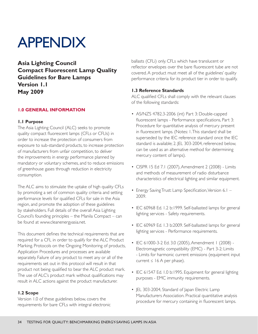## APPENDIX

**Asia Lighting Council Compact Fluorescent Lamp Quality Guidelines for Bare Lamps Version 1.1 May 2009**

## **1.0 GENERAL INFORMATION**

#### **1.1 Purpose**

The Asia Lighting Council (ALC) seeks to promote quality compact fluorescent lamps (CFLs or CFLIs) in order to increase the protection of consumers from exposure to sub-standard products, to increase protection of manufacturers from unfair competition, to deliver the improvements in energy performance planned by mandatory or voluntary schemes, and to reduce emissions of greenhouse gases through reduction in electricity consumption.

The ALC aims to stimulate the uptake of high quality CFLs by promoting a set of common quality criteria and setting performance levels for qualified CFLs for sale in the Asia region, and promote the adoption of these guidelines by stakeholders. Full details of the overall Asia Lighting Council's founding principles – the Manila Compact – can be found at www.cleanenergyasia.net.

This document defines the technical requirements that are required for a CFL in order to qualify for the ALC Product Marking. Protocols on the Ongoing Monitoring of products, Application Procedures and processes are available separately. Failure of any product to meet any or all of the requirements set out in this protocol will result in that product not being qualified to bear the ALC product mark. The use of ALC's product mark without qualifications may result in ALC actions against the product manufacturer.

### **1.2 Scope**

Version 1.0 of these guidelines below, covers the requirements for bare CFLs with integral electronic ballasts (CFLi) only. CFLs which have translucent or reflector envelopes over the bare fluorescent tube are not covered. A product must meet all of the guidelines' quality performance criteria for its product tier in order to qualify.

### **1.3 Reference Standards**

ALC qualified CFLs shall comply with the relevant clauses of the following standards:

- AS/NZS 4782.3-2006 (int) Part 3: Double-capped fluorescent lamps - Performance specifications, Part 3: Procedure for quantitative analysis of mercury present in fluorescent lamps. (Notes: 1. This standard shall be superseded by the IEC reference standard once the IEC standard is available; 2. JEL 303-2004, referenced below, can be used as an alternative method for determining mercury content of lamps).
- CISPR 15 Ed 7.1 (2007), Amendment 2 (2008) Limits and methods of measurement of radio disturbance characteristics of electrical lighting and similar equipment.
- Energy Saving Trust: Lamp Specification, Version 6.1 2009.
- IEC 60968 Ed. 1.2 b:1999. Self-ballasted lamps for general lighting services - Safety requirements.
- IEC 60969 Ed. 1.3 b:2009. Self-ballasted lamps for general lighting services - Performance requirements.
- IEC 61000-3-2 Ed. 3.0 (2005), Amendment 1 (2008) Electromagnetic compatibility (EMC) - Part 3-2: Limits - Limits for harmonic current emissions (equipment input current  $\leq 16$  A per phase).
- IEC 61547 Ed. 1.0 b:1995. Equipment for general lighting purposes - EMC immunity requirements.
- JEL 303-2004, Standard of Japan Electric Lamp Manufacturers Association. Practical quantitative analysis procedure for mercury containing in fluorescent lamps.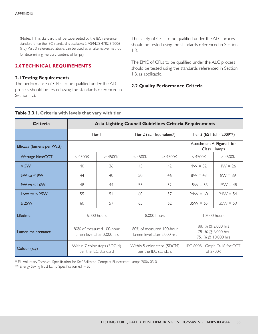(Notes: 1. This standard shall be superseded by the IEC reference standard once the IEC standard is available; 2. AS/NZS 4782.3-2006 (int.) Part 3, referenced above, can be used as an alternative method for determining mercury content of lamps).

### **2.0 TECHNICAL REQUIREMENTS**

#### **2.1 Testing Requirements**

The performance of CFLs to be qualified under the ALC process should be tested using the standards referenced in Section 1.3.

The safety of CFLs to be qualified under the ALC process should be tested using the standards referenced in Section 1.3.

The EMC of CFLs to be qualified under the ALC process should be tested using the standards referenced in Section 1.3, as applicable.

#### **2.2 Quality Performance Criteria**

#### **Table 2.3.1. Criteria with levels that vary with tier**

| <b>Criteria</b>            | Asia Lighting Council Guidelines Criteria Requirements |                                                         |                                                     |                                                         |                                          |                                                              |
|----------------------------|--------------------------------------------------------|---------------------------------------------------------|-----------------------------------------------------|---------------------------------------------------------|------------------------------------------|--------------------------------------------------------------|
|                            | Tier I                                                 |                                                         | Tier 2 (ELI- Equivalent*)                           |                                                         |                                          | Tier 3 (EST 6.1 - 2009**)                                    |
| Efficacy (lumens per Watt) |                                                        |                                                         |                                                     |                                                         |                                          | Attachment A, Figure 1 for<br>Class I lamps                  |
| Wattage bins/CCT           | $\leq$ 4500K                                           | >4500K                                                  | $\leq$ 4500K                                        | >4500K                                                  | $\leq$ 4500K                             | >4500K                                                       |
| $<$ 5W                     | 40                                                     | 36                                                      | 45                                                  | 42                                                      | $4W = 32$                                | $4W = 26$                                                    |
| $5W$ to $\leq 9W$          | 44                                                     | 40                                                      | 50                                                  | 46                                                      | $8W = 43$                                | $8W = 39$                                                    |
| $9W$ to $\leq 16W$         | 48                                                     | 44                                                      | 55                                                  | 52                                                      | $15W = 53$                               | $15W = 48$                                                   |
| $16W$ to $\leq 25W$        | 55                                                     | 51                                                      | 60                                                  | 57                                                      | $74W = 60$                               | $24W = 54$                                                   |
| $\geq$ 25W                 | 60                                                     | 57                                                      | 65                                                  | 62                                                      | $35W = 65$                               | $35W = 59$                                                   |
| Lifetime                   | 6,000 hours                                            |                                                         | 8,000 hours                                         |                                                         | 10,000 hours                             |                                                              |
| Lumen maintenance          |                                                        | 80% of measured 100-hour<br>lumen level after 2,000 hrs |                                                     | 80% of measured 100-hour<br>lumen level after 2,000 hrs |                                          | 88.1% @ 2,000 hrs<br>78.1% @ 6,000 hrs<br>75.1% @ 10,000 hrs |
| Colour $(x,y)$             | Within 7 color steps (SDCM)<br>per the IEC standard    |                                                         | Within 5 color steps (SDCM)<br>per the IEC standard |                                                         | IEC 60081 Graph D-16 for CCT<br>of 2700K |                                                              |

\* ELI Voluntary Technical Specification for Self-Ballasted Compact Fluorescent Lamps 2006-03-01.

\*\* Energy Saving Trust Lamp Specification 6.1 – 20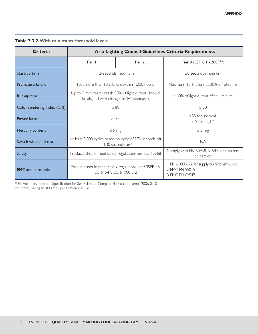|  |  |  | <b>Table 2.3.2. With minimum threshold levels</b> |  |  |
|--|--|--|---------------------------------------------------|--|--|
|--|--|--|---------------------------------------------------|--|--|

| <b>Criteria</b>             | <b>Asia Lighting Council Guidelines Criteria Requirements</b>                                    |                     |                                                                                    |  |  |
|-----------------------------|--------------------------------------------------------------------------------------------------|---------------------|------------------------------------------------------------------------------------|--|--|
|                             | Tier I                                                                                           | Tier 2              | Tier 3 (EST 6.1 - 2009**)                                                          |  |  |
| Start-up time               |                                                                                                  | 1.5 seconds maximum | 2.0 seconds maximum                                                                |  |  |
| Premature failure           | Not more than 10% failure within 1,000 hours                                                     |                     | Maximum 10% failure at 30% of rated life                                           |  |  |
| Run-up time                 | Up to 3 minutes to reach 80% of light output (should<br>be aligned with changes in IEC standard) |                     | $\geq 60\%$ of light output after I minute                                         |  |  |
| Color rendering index (CRI) | $\geq 80$                                                                                        |                     | > 80                                                                               |  |  |
| Power factor                | $\geq 0.5$                                                                                       |                     | 0.55 for "normal"<br>0.9 for "high"                                                |  |  |
| Mercury content             | $\leq$ 5 mg                                                                                      |                     | $\leq$ 5 mg                                                                        |  |  |
| Switch withstand test.      | At least 3,000 cycles based on cycle of 270 seconds off<br>and 30 seconds on*                    |                     | <b>NA</b>                                                                          |  |  |
| Safety                      | Products should meet safety regulations per IEC 60968                                            |                     | Comply with EN 60968, 61547 for transient<br>protection                            |  |  |
| <b>EMC</b> and harmonics    | Products should meet safety regulations per CISPR 15,<br>IEC 61547, IEC 61000-3-2                |                     | I. EN 61000-3-2 for supply current harmonics<br>2. EMC EN 55015<br>3. EMC EN 62547 |  |  |

\* ELI Voluntary Technical Specification for Self-Ballasted Compact Fluorescent Lamps 2006-03-01.

\*\* Energy Saving Trust Lamp Specification 6.1 – 20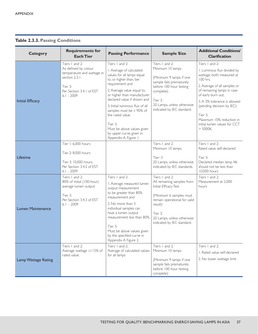## **Table 2.3.3. Passing Conditions**

| <b>Category</b>          | <b>Requirements for</b><br><b>Each Tier</b>                                                                                                   | <b>Passing Performance</b>                                                                                                                                                                                                                                                                                                                                                                                | <b>Sample Size</b>                                                                                                                                                                                                 | <b>Additional Conditions/</b><br><b>Clarification</b>                                                                                                                                                                                                                                                                         |
|--------------------------|-----------------------------------------------------------------------------------------------------------------------------------------------|-----------------------------------------------------------------------------------------------------------------------------------------------------------------------------------------------------------------------------------------------------------------------------------------------------------------------------------------------------------------------------------------------------------|--------------------------------------------------------------------------------------------------------------------------------------------------------------------------------------------------------------------|-------------------------------------------------------------------------------------------------------------------------------------------------------------------------------------------------------------------------------------------------------------------------------------------------------------------------------|
| <b>Initial Efficacy</b>  | Tiers 1 and 2:<br>As defined by colour<br>temperature and wattage in<br>section 2.3.1.<br>Tier 3:<br>Per Section 3.4.1 of EST<br>$6.1 - 2009$ | Tiers I and 2:<br>I. Average of calculated<br>values for all lamps equal<br>to, or higher than, tier<br>requirement and<br>2. Average value equal to,<br>or higher than manufacturer<br>declared value if shown and<br>3. Initial luminous flux of all<br>samples must be $\geq 90\%$ of<br>the rated value.<br>Tier 3:<br>Must be above values given<br>by upper curve given in<br>Appendix A, Figure 1. | Tiers I and 2:<br>Minimum 10 lamps<br>(Minimum 9 lamps if one<br>sample fails prematurely<br>before 100 hour testing<br>complete)<br>Tier 3:<br>20 Lamps, unless otherwise<br>indicated by IEC standard.           | Tiers 1 and 2:<br>I. Luminous flux divided by<br>wattage, both measured at<br>100 hrs.<br>2. Average of all samples or<br>of remaining lamps in case<br>of early burn out.<br>3. A 3% tolerance is allowed<br>(pending decision by IEC).<br>Tier 3:<br>Maximum 10% reduction in<br>initial lumen values for CCT<br>$>$ 5000K. |
| Lifetime                 | Tier 1: 6,000 hours<br>Tier 2: 8,000 hours<br>Tier 3: 10,000 hours.<br>Per Section 3.4.2 of EST<br>$6.1 - 2009$                               |                                                                                                                                                                                                                                                                                                                                                                                                           | Tiers I and 2:<br>Minimum 10 lamps.<br>Tier: 3<br>20 Lamps, unless otherwise<br>indicated by IEC standards.                                                                                                        | Tiers 1 and 2:<br>Rated value self-declared<br>Tier 3:<br>Declared median lamp life<br>should not be less than<br>10,000 hours                                                                                                                                                                                                |
| <b>Lumen Maintenance</b> | Tiers 1 and 2:<br>80% of initial (100-hour)<br>average lumen output<br>Tier 3:<br>Per Section 3.4.3 of EST<br>$6.1 - 2009$                    | Tiers I and 2:<br>I. Average measured lumen<br>output measurement<br>to be greater than 80%<br>measurement and<br>2. No more than 3<br>individual samples can<br>have a lumen output<br>measurement less than 80%.<br>Tier 3:<br>Must be above values given<br>by the specified curve in<br>Appendix A Figure 2.                                                                                          | Tiers 1 and 2:<br>All remaining samples from<br>Initial Efficacy Test<br>(Minimum 6 samples must<br>remain operational for valid<br>result)<br>Tier 3:<br>20 Lamps, unless otherwise<br>indicated by IEC standard. | Tiers I and 2:<br>Measurement at 2,000<br>hours                                                                                                                                                                                                                                                                               |
| Lamp Wattage Rating      | Tiers I and 2:<br>Average wattage ≤115% of<br>rated value.                                                                                    | Tiers 1 and 2:<br>Average of calculated values<br>for all lamps                                                                                                                                                                                                                                                                                                                                           | Tiers I and 2:<br>Minimum 10 lamps<br>(Minimum 9 lamps if one<br>sample fails prematurely<br>before 100 hour testing<br>complete)                                                                                  | Tiers 1 and 2:<br>L. Rated value self-declared<br>2. No lower wattage limit                                                                                                                                                                                                                                                   |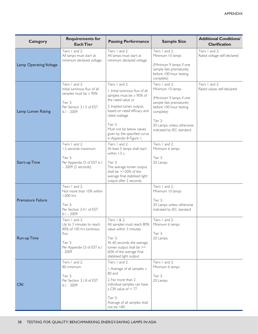| <b>Category</b>          | <b>Requirements for</b><br><b>Each Tier</b>                                                                                          | <b>Passing Performance</b>                                                                                                                                                                                                                                                        | <b>Sample Size</b>                                                                                                                                                                                       | <b>Additional Conditions/</b><br><b>Clarification</b> |
|--------------------------|--------------------------------------------------------------------------------------------------------------------------------------|-----------------------------------------------------------------------------------------------------------------------------------------------------------------------------------------------------------------------------------------------------------------------------------|----------------------------------------------------------------------------------------------------------------------------------------------------------------------------------------------------------|-------------------------------------------------------|
| Lamp Operating Voltage   | Tiers 1 and 2:<br>All lamps must start at<br>minimum declared voltage.                                                               | Tiers 1 and 2:<br>All lamps must start at<br>minimum declared voltage                                                                                                                                                                                                             | Tiers I and 2:<br>Minimum 10 lamps<br>(Minimum 9 lamps if one<br>sample fails prematurely<br>before 100 hour testing<br>complete)                                                                        | Tiers 1 and 2:<br>Rated voltage self-declared         |
| Lamp Lumen Rating        | Tiers 1 and 2:<br>Initial luminous flux of all<br>samples must be $\geq 90\%$<br>Tier 3:<br>Per Section 3.1.5 of EST<br>$6.1 - 2009$ | Tiers 1 and 2:<br>I. Initial luminous flux of all<br>samples must be ≥ 90% of<br>the rated value or<br>2. Implied lumen output,<br>based on rated efficacy and<br>rated wattage<br>Tier 3:<br>Must not be below values<br>given by the specified curve<br>in Appendix B Figure 1. | Tiers 1 and 2:<br>Minimum 10 lamps<br>(Minimum 9 lamps if one<br>sample fails prematurely<br>before 100 hour testing<br>complete)<br>Tier 3:<br>20 Lamps, unless otherwise<br>indicated by IEC standard. | Tiers 1 and 2:<br>Rated values self-declared          |
| <b>Start-up Time</b>     | Tiers 1 and 2:<br>1.5 seconds maximum<br>Tier 3:<br>Per Appendix D of EST 6.1<br>$-2009$ (2 seconds)                                 | Tiers 1 and 2:<br>At least 5 lamps shall start<br>within $1.5 s$<br>Tier 3:<br>The average lumen output<br>shall be >=20% of the<br>average final stabilised light<br>output after 2 seconds.                                                                                     | Tiers I and 2:<br>Minimum 6 lamps<br>Tier 3:<br>20 Lamps                                                                                                                                                 |                                                       |
| <b>Premature Failure</b> | Tiers 1 and 2:<br>Not more than 10% within<br>1,000 hrs<br>Tier 3:<br>Per Section 2.4.1 of EST<br>$6.1 - 2009$                       |                                                                                                                                                                                                                                                                                   | Tiers I and 2:<br>Minimum 10 lamps<br>Tier 3:<br>20 Lamps unless otherwise<br>indicated by IEC standard                                                                                                  |                                                       |
| <b>Run-up Time</b>       | Tiers I and 2:<br>Up to 3 minutes to reach<br>80% of 100 hrs luminous<br>flux<br>Tier 3:<br>Per Appendix D of EST 6.1<br>$-2009$     | Tiers   & 2:<br>All samples must reach 80%<br>value within 3 minutes<br>Tier 3:<br>At 60 seconds, the average<br>lumen output shall be >=<br>60% of the average final<br>stabilised light output                                                                                  | Tiers 1 and 2:<br>Minimum 6 lamps<br>Tier 3:<br>20 Lamps.                                                                                                                                                |                                                       |
| <b>CRI</b>               | Tiers I and 2:<br>80 minimum<br>Tier 3:<br>Per Section 3.1.8 of EST<br>$6.1 - 2009$                                                  | Tiers 1 and 2:<br>1. Average of all samples ≥<br>80 and<br>2. No more than 2<br>individual samples can have<br>a CRI value of $<$ 77<br>Tier 3:<br>Average of all samples shall<br>not be <80                                                                                     | Tiers I and 2:<br>Minimum 6 lamps<br>Tier 3:<br>20 Lamps                                                                                                                                                 |                                                       |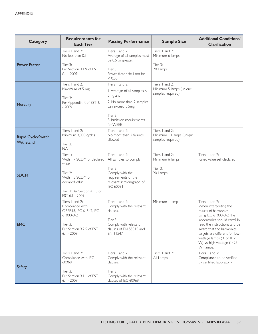| <b>Category</b>                 | <b>Requirements for</b><br><b>Each Tier</b>                                                                                                      | <b>Passing Performance</b>                                                                                                                                              | <b>Sample Size</b>                                              | <b>Additional Conditions/</b><br><b>Clarification</b>                                                                                                                                                                                                                                                |
|---------------------------------|--------------------------------------------------------------------------------------------------------------------------------------------------|-------------------------------------------------------------------------------------------------------------------------------------------------------------------------|-----------------------------------------------------------------|------------------------------------------------------------------------------------------------------------------------------------------------------------------------------------------------------------------------------------------------------------------------------------------------------|
| <b>Power Factor</b>             | Tiers 1 and 2:<br>No less than 0.5<br>Tier 3:<br>Per Section 3.1.9 of EST<br>$6.1 - 2009$                                                        | Tiers 1 and 2:<br>Average of all samples must<br>be 0.5 or greater.<br>Tier 3:<br>Power factor shall not be<br>< 0.55                                                   | Tiers I and 2:<br>Minimum 6 lamps<br>Tier 3:<br>20 Lamps        |                                                                                                                                                                                                                                                                                                      |
| Mercury                         | Tiers 1 and 2:<br>Maximum of 5 mg<br>Tier 3:<br>Per Appendix K of EST 6.1<br>$-2009$                                                             | Tiers 1 and 2:<br>1. Average of all samples ≤<br>5 <sub>mg</sub> and<br>2. No more than 2 samples<br>can exceed 5.5mg<br>Tier 3:<br>Submission requirements<br>for WEEE | Tiers I and 2:<br>Minimum 5 lamps (unique<br>samples required)  |                                                                                                                                                                                                                                                                                                      |
| Rapid Cycle/Switch<br>Withstand | Tiers 1 and 2:<br>Minimum 3,000 cycles<br>Tier 3:<br><b>NA</b>                                                                                   | Tiers I and 2:<br>No more than 2 failures<br>allowed                                                                                                                    | Tiers I and 2:<br>Minimum 10 lamps (unique<br>samples required) |                                                                                                                                                                                                                                                                                                      |
| <b>SDCM</b>                     | Tier I:<br>Within 7 SCDM of declared<br>value<br>Tier 2:<br>Within 5 SCDM or<br>declared value<br>Tier 3: Per Section 4.1.3 of<br>EST 6.1 - 2009 | Tiers 1 and 2:<br>All samples to comply<br>Tier 3:<br>Comply with the<br>requirements of the<br>relevant section/graph of<br>IEC 60081                                  | Tiers I and 2:<br>Minimum 6 lamps<br>Tier 3:<br>20 Lamps        | Tiers 1 and 2:<br>Rated value self-declared                                                                                                                                                                                                                                                          |
| <b>EMC</b>                      | Tiers 1 and 2:<br>Compliance with:<br>CISPR15, IEC 61547, IEC<br>61000-3-2<br>Tier 3:<br>Per Section 3.2.5 of EST<br>$6.1 - 2009$                | Tiers I and 2:<br>Comply with the relevant<br>clauses.<br>Tier 3:<br>Comply with relevant<br>clauses of EN 55015 and<br>EN 61547                                        | Minimum   Lamp                                                  | Tiers 1 and 2:<br>When interpreting the<br>results of harmonics<br>using IEC 61000-3-2, the<br>laboratories should carefully<br>read the instructions and be<br>aware that the harmonics<br>targets are different for low-<br>wattage lamps $(<$ or $=$ 25<br>W) vs. high-wattage (> 25<br>W) lamps. |
| Safety                          | Tiers I and 2:<br>Compliance with: IEC<br>60968<br>Tier 3:<br>Per Section 3.1.1 of EST<br>$6.1 - 2009$                                           | Tiers 1 and 2:<br>Comply with the relevant<br>clauses.<br>Tier 3:<br>Comply with the relevant<br>clauses of IEC 60969                                                   | Tiers I and 2:<br>All Lamps                                     | Tiers 1 and 2:<br>Compliance to be verified<br>by certified laboratory                                                                                                                                                                                                                               |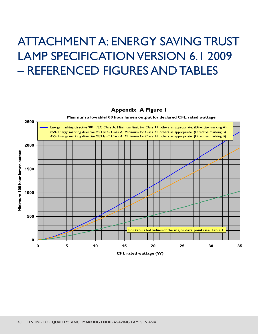## ATTACHMENT A: ENERGY SAVING TRUST LAMP SPECIFICATION VERSION 6.1 2009 – REFERENCED FIGURES AND TABLES

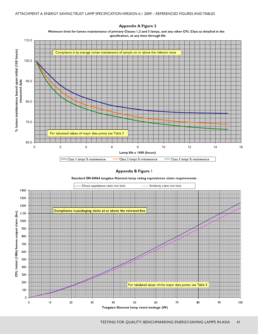

**Appendix A Figure 2** 

Minimum limit for lumen maintenance of primary Classes 1,2 and 3 lamps, and any other CFL Class as detailed in the specification, at any time through life

### **Appendix B Figure I** Standard EN 60064 tungsten filament lamp rating equivalence claim requirements



Tungsten filament lamp rated wattage (W)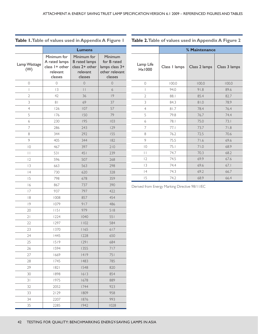#### **Lumens** Lamp Wattage (W) Minimum for A rated lamps class 1+ other relevant classes Minimum for B rated lamps class 2+ other relevant classes Minimum for B rated lamps class 3+ other relevant classes 0 0 0 0 0 13 11 6 42 36 19 81 69 37 126 107 57 176 150 79 230 195 103 286 243 129 344 292 155 405 344 182 467 397 210 531 451 239 596 507 268 663 563 298 730 620 328 798 678 359 16 867 737 390 937 797 422 1008 857 454 1079 917 486 1151 979 518 1224 1040 551 1297 1102 584 1370 1165 617 1445 1228 650 1519 1291 684 1594 1355 717 1669 1419 751 1745 1483 785 1821 1548 820 1898 1613 854 1975 1678 889 2052 1744 923 2129 1809 958 2207 1876 993 2285 1942 1028

#### **Table 1. Table of values used in Appendix A Figure 1**

**Table 2. Table of values used in Appendix A Figure 2**

|                              | % Maintenance |               |               |  |
|------------------------------|---------------|---------------|---------------|--|
| Lamp Life<br>$H \times 1000$ | Class I lamps | Class 2 lamps | Class 3 lamps |  |
| 0                            | 100.0         | 100.0         | 100.0         |  |
| I                            | 94.0          | 91.8          | 89.6          |  |
| $\overline{2}$               | 88.1          | 85.4          | 82.7          |  |
| 3                            | 84.3          | 0.18          | 78.9          |  |
| $\overline{4}$               | 81.7          | 78.4          | 76.4          |  |
| 5                            | 79.8          | 76.7          | 74.4          |  |
| 6                            | 78.1          | 75.0          | 73.1          |  |
| 7                            | 77.1          | 73.7          | 71.8          |  |
| 8                            | 76.2          | 72.5          | 70.6          |  |
| 9                            | 75.5          | 71.6          | 69.6          |  |
| $\overline{0}$               | 75.1          | 71.0          | 68.9          |  |
| $\vert \ \vert$              | 74.7          | 70.3          | 68.2          |  |
| 12                           | 74.5          | 69.9          | 67.6          |  |
| 3                            | 74.4          | 69.6          | 67.1          |  |
| 4                            | 74.3          | 69.2          | 66.7          |  |
| 15                           | 74.2          | 68.9          | 66.4          |  |

Derived from Energy Marking Directive 98/11/EC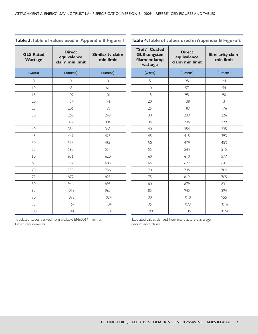| Table 3. Table of values used in Appendix B Figure I |  |  |  |
|------------------------------------------------------|--|--|--|
|------------------------------------------------------|--|--|--|

#### **Table 4. Table of values used in Appendix B Figure 2**

| <b>GLS Rated</b><br>Wattage | <b>Direct</b><br>equivalence<br>claim min limit | Similarity claim<br>min limit |
|-----------------------------|-------------------------------------------------|-------------------------------|
| (watts)                     | (lumens)                                        | (lumens)                      |
| $\Omega$                    | $\Omega$                                        | $\Omega$                      |
| $\overline{0}$              | 65                                              | 61                            |
| 15                          | 107                                             | 0                             |
| 20                          | 154                                             | 146                           |
| 25                          | 206                                             | 195                           |
| 30                          | 262                                             | 248                           |
| 35                          | 322                                             | 304                           |
| 40                          | 384                                             | 363                           |
| 45                          | 449                                             | 425                           |
| 50                          | 516                                             | 489                           |
| 55                          | 585                                             | 554                           |
| 60                          | 656                                             | 620                           |
| 65                          | 727                                             | 688                           |
| 70                          | 799                                             | 756                           |
| 75                          | 872                                             | 825                           |
| 80                          | 946                                             | 895                           |
| 85                          | 1019                                            | 965                           |
| 90                          | 1093                                            | 1034                          |
| 95                          | 1167                                            | 1104                          |
| 100                         | 24                                              | 1174                          |

| "Soft" Coated<br><b>GLS tungsten</b><br>filament lamp<br>wattage | <b>Direct</b><br>equivalence<br>claim min limit | Similarity claim<br>min limit |
|------------------------------------------------------------------|-------------------------------------------------|-------------------------------|
| (watts)                                                          | (lumens)                                        | (lumens)                      |
| 5                                                                | 25                                              | 24                            |
| $\overline{0}$                                                   | 57                                              | 54                            |
| 15                                                               | 95                                              | 90                            |
| 20                                                               | 138                                             | 3                             |
| 25                                                               | 187                                             | 176                           |
| 30                                                               | 239                                             | 226                           |
| 35                                                               | 295                                             | 279                           |
| 40                                                               | 354                                             | 335                           |
| 45                                                               | 415                                             | 393                           |
| 50                                                               | 479                                             | 453                           |
| 55                                                               | 544                                             | 515                           |
| 60                                                               | 610                                             | 577                           |
| 65                                                               | 677                                             | 641                           |
| 70                                                               | 745                                             | 704                           |
| 75                                                               | 812                                             | 765                           |
| 80                                                               | 879                                             | 831                           |
| 85                                                               | 945                                             | 894                           |
| 90                                                               | 1010                                            | 955                           |
| 95                                                               | 1073                                            | 1016                          |
| 100                                                              | 1135                                            | 1074                          |

Tabulated values derived from available EN60064 minimum lumen requirements

Tabulated values derived from manufacturers average performance claims